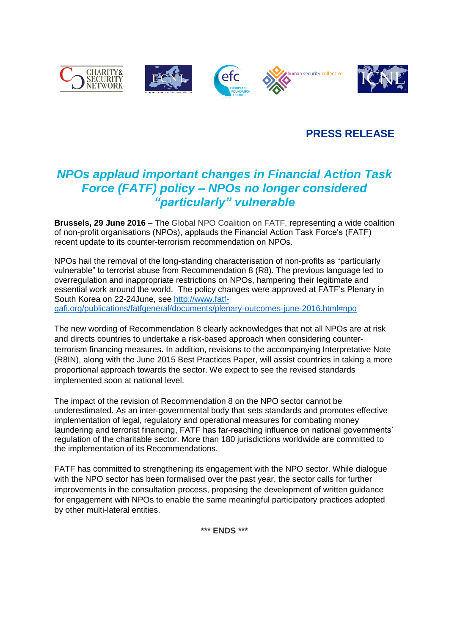

## **PRESS RELEASE**

# *NPOs applaud important changes in Financial Action Task Force (FATF) policy – NPOs no longer considered "particularly" vulnerable*

**Brussels, 29 June 2016** – The Global NPO Coalition on FATF, representing a wide coalition of non-profit organisations (NPOs), applauds the Financial Action Task Force's (FATF) recent update to its counter-terrorism recommendation on NPOs.

NPOs hail the removal of the long-standing characterisation of non-profits as "particularly vulnerable" to terrorist abuse from Recommendation 8 (R8). The previous language led to overregulation and inappropriate restrictions on NPOs, hampering their legitimate and essential work around the world. The policy changes were approved at FATF's Plenary in South Korea on 22-24June, see [http://www.fatf](http://www.fatf-gafi.org/publications/fatfgeneral/documents/plenary-outcomes-june-2016.html#npo)[gafi.org/publications/fatfgeneral/documents/plenary-outcomes-june-2016.html#npo](http://www.fatf-gafi.org/publications/fatfgeneral/documents/plenary-outcomes-june-2016.html#npo)

The new wording of Recommendation 8 clearly acknowledges that not all NPOs are at risk and directs countries to undertake a risk-based approach when considering counterterrorism financing measures. In addition, revisions to the accompanying Interpretative Note (R8IN), along with the June 2015 Best Practices Paper, will assist countries in taking a more proportional approach towards the sector. We expect to see the revised standards implemented soon at national level.

The impact of the revision of Recommendation 8 on the NPO sector cannot be underestimated. As an inter-governmental body that sets standards and promotes effective implementation of legal, regulatory and operational measures for combating money laundering and terrorist financing, FATF has far-reaching influence on national governments' regulation of the charitable sector. More than 180 jurisdictions worldwide are committed to the implementation of its Recommendations.

FATF has committed to strengthening its engagement with the NPO sector. While dialogue with the NPO sector has been formalised over the past year, the sector calls for further improvements in the consultation process, proposing the development of written guidance for engagement with NPOs to enable the same meaningful participatory practices adopted by other multi-lateral entities.

**\*\*\* ENDS \*\*\***